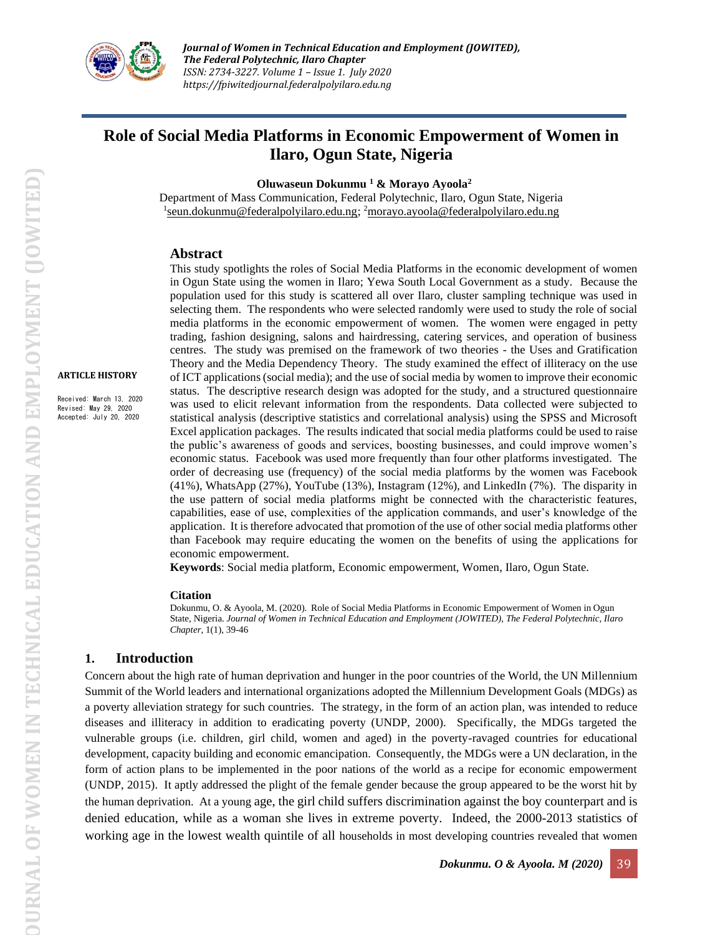

# **Role of Social Media Platforms in Economic Empowerment of Women in Ilaro, Ogun State, Nigeria**

 **Oluwaseun Dokunmu <sup>1</sup> & Morayo Ayoola<sup>2</sup>**

Department of Mass Communication, Federal Polytechnic, Ilaro, Ogun State, Nigeria <sup>1</sup>[seun.dokunmu@federalpolyilaro.edu.ng;](mailto:seun.dokunmu@federalpolyilaro.edu.ng) <sup>2</sup>[morayo.ayoola@federalpolyilaro.edu.ng](mailto:morayo.ayoola@federalpolyilaro.edu.ng)

#### **Abstract**

**ARTICLE HISTORY**

Received: March 13, 2020 Revised: May 29, 2020 Accepted: July 20, 2020

This study spotlights the roles of Social Media Platforms in the economic development of women in Ogun State using the women in Ilaro; Yewa South Local Government as a study. Because the population used for this study is scattered all over Ilaro, cluster sampling technique was used in selecting them. The respondents who were selected randomly were used to study the role of social media platforms in the economic empowerment of women. The women were engaged in petty trading, fashion designing, salons and hairdressing, catering services, and operation of business centres. The study was premised on the framework of two theories - the Uses and Gratification Theory and the Media Dependency Theory. The study examined the effect of illiteracy on the use of ICT applications (social media); and the use of social media by women to improve their economic status. The descriptive research design was adopted for the study, and a structured questionnaire was used to elicit relevant information from the respondents. Data collected were subjected to statistical analysis (descriptive statistics and correlational analysis) using the SPSS and Microsoft Excel application packages. The results indicated that social media platforms could be used to raise the public's awareness of goods and services, boosting businesses, and could improve women's economic status. Facebook was used more frequently than four other platforms investigated. The order of decreasing use (frequency) of the social media platforms by the women was Facebook (41%), WhatsApp (27%), YouTube (13%), Instagram (12%), and LinkedIn (7%). The disparity in the use pattern of social media platforms might be connected with the characteristic features, capabilities, ease of use, complexities of the application commands, and user's knowledge of the application. It is therefore advocated that promotion of the use of other social media platforms other than Facebook may require educating the women on the benefits of using the applications for economic empowerment.

**Keywords**: Social media platform, Economic empowerment, Women, Ilaro, Ogun State.

#### **Citation**

Dokunmu, O. & Ayoola, M. (2020). Role of Social Media Platforms in Economic Empowerment of Women in Ogun State, Nigeria. *Journal of Women in Technical Education and Employment (JOWITED), The Federal Polytechnic, Ilaro Chapter*, 1(1), 39-46

### **1. Introduction**

Concern about the high rate of human deprivation and hunger in the poor countries of the World, the UN Millennium Summit of the World leaders and international organizations adopted the Millennium Development Goals (MDGs) as a poverty alleviation strategy for such countries. The strategy, in the form of an action plan, was intended to reduce diseases and illiteracy in addition to eradicating poverty (UNDP, 2000). Specifically, the MDGs targeted the vulnerable groups (i.e. children, girl child, women and aged) in the poverty-ravaged countries for educational development, capacity building and economic emancipation. Consequently, the MDGs were a UN declaration, in the form of action plans to be implemented in the poor nations of the world as a recipe for economic empowerment (UNDP, 2015). It aptly addressed the plight of the female gender because the group appeared to be the worst hit by the human deprivation. At a young age, the girl child suffers discrimination against the boy counterpart and is denied education, while as a woman she lives in extreme poverty. Indeed, the 2000-2013 statistics of working age in the lowest wealth quintile of all households in most developing countries revealed that women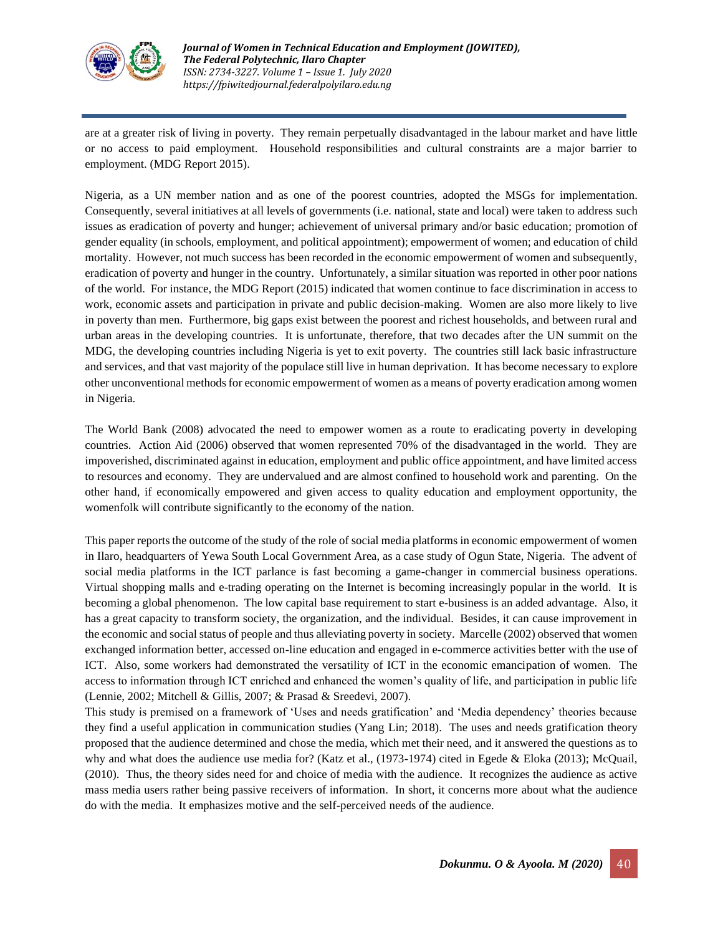

are at a greater risk of living in poverty. They remain perpetually disadvantaged in the labour market and have little or no access to paid employment. Household responsibilities and cultural constraints are a major barrier to employment. (MDG Report 2015).

Nigeria, as a UN member nation and as one of the poorest countries, adopted the MSGs for implementation. Consequently, several initiatives at all levels of governments (i.e. national, state and local) were taken to address such issues as eradication of poverty and hunger; achievement of universal primary and/or basic education; promotion of gender equality (in schools, employment, and political appointment); empowerment of women; and education of child mortality. However, not much success has been recorded in the economic empowerment of women and subsequently, eradication of poverty and hunger in the country. Unfortunately, a similar situation was reported in other poor nations of the world. For instance, the MDG Report (2015) indicated that women continue to face discrimination in access to work, economic assets and participation in private and public decision-making. Women are also more likely to live in poverty than men. Furthermore, big gaps exist between the poorest and richest households, and between rural and urban areas in the developing countries. It is unfortunate, therefore, that two decades after the UN summit on the MDG, the developing countries including Nigeria is yet to exit poverty. The countries still lack basic infrastructure and services, and that vast majority of the populace still live in human deprivation. It has become necessary to explore other unconventional methods for economic empowerment of women as a means of poverty eradication among women in Nigeria.

The World Bank (2008) advocated the need to empower women as a route to eradicating poverty in developing countries. Action Aid (2006) observed that women represented 70% of the disadvantaged in the world. They are impoverished, discriminated against in education, employment and public office appointment, and have limited access to resources and economy. They are undervalued and are almost confined to household work and parenting. On the other hand, if economically empowered and given access to quality education and employment opportunity, the womenfolk will contribute significantly to the economy of the nation.

This paper reports the outcome of the study of the role of social media platforms in economic empowerment of women in Ilaro, headquarters of Yewa South Local Government Area, as a case study of Ogun State, Nigeria. The advent of social media platforms in the ICT parlance is fast becoming a game-changer in commercial business operations. Virtual shopping malls and e-trading operating on the Internet is becoming increasingly popular in the world. It is becoming a global phenomenon. The low capital base requirement to start e-business is an added advantage. Also, it has a great capacity to transform society, the organization, and the individual. Besides, it can cause improvement in the economic and social status of people and thus alleviating poverty in society. Marcelle (2002) observed that women exchanged information better, accessed on-line education and engaged in e-commerce activities better with the use of ICT. Also, some workers had demonstrated the versatility of ICT in the economic emancipation of women. The access to information through ICT enriched and enhanced the women's quality of life, and participation in public life (Lennie, 2002; Mitchell & Gillis, 2007; & Prasad & Sreedevi, 2007).

This study is premised on a framework of 'Uses and needs gratification' and 'Media dependency' theories because they find a useful application in communication studies (Yang Lin; 2018). The uses and needs gratification theory proposed that the audience determined and chose the media, which met their need, and it answered the questions as to why and what does the audience use media for? (Katz et al., (1973-1974) cited in Egede & Eloka (2013); McQuail, (2010). Thus, the theory sides need for and choice of media with the audience. It recognizes the audience as active mass media users rather being passive receivers of information. In short, it concerns more about what the audience do with the media. It emphasizes motive and the self-perceived needs of the audience.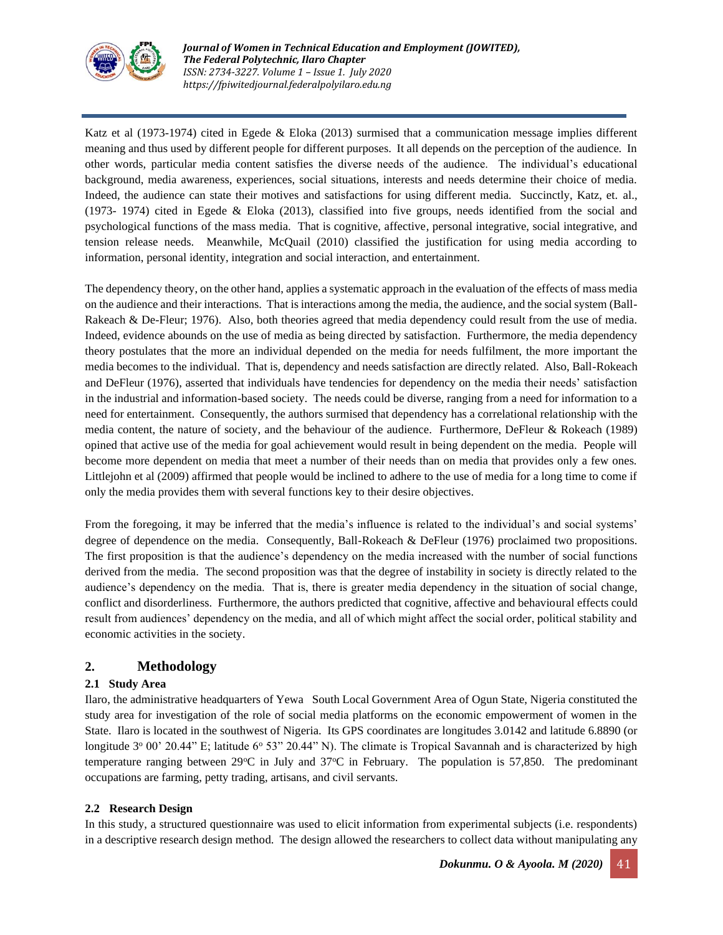

Katz et al (1973-1974) cited in Egede & Eloka (2013) surmised that a communication message implies different meaning and thus used by different people for different purposes. It all depends on the perception of the audience. In other words, particular media content satisfies the diverse needs of the audience. The individual's educational background, media awareness, experiences, social situations, interests and needs determine their choice of media. Indeed, the audience can state their motives and satisfactions for using different media. Succinctly, Katz, et. al., (1973- 1974) cited in Egede & Eloka (2013), classified into five groups, needs identified from the social and psychological functions of the mass media. That is cognitive, affective, personal integrative, social integrative, and tension release needs. Meanwhile, McQuail (2010) classified the justification for using media according to information, personal identity, integration and social interaction, and entertainment.

The dependency theory, on the other hand, applies a systematic approach in the evaluation of the effects of mass media on the audience and their interactions. That is interactions among the media, the audience, and the social system (Ball-Rakeach & De-Fleur; 1976). Also, both theories agreed that media dependency could result from the use of media. Indeed, evidence abounds on the use of media as being directed by satisfaction. Furthermore, the media dependency theory postulates that the more an individual depended on the media for needs fulfilment, the more important the media becomes to the individual. That is, dependency and needs satisfaction are directly related. Also, Ball-Rokeach and DeFleur (1976), asserted that individuals have tendencies for dependency on the media their needs' satisfaction in the industrial and information-based society. The needs could be diverse, ranging from a need for information to a need for entertainment. Consequently, the authors surmised that dependency has a correlational relationship with the media content, the nature of society, and the behaviour of the audience. Furthermore, DeFleur & Rokeach (1989) opined that active use of the media for goal achievement would result in being dependent on the media. People will become more dependent on media that meet a number of their needs than on media that provides only a few ones. Littlejohn et al (2009) affirmed that people would be inclined to adhere to the use of media for a long time to come if only the media provides them with several functions key to their desire objectives.

From the foregoing, it may be inferred that the media's influence is related to the individual's and social systems' degree of dependence on the media. Consequently, Ball-Rokeach & DeFleur (1976) proclaimed two propositions. The first proposition is that the audience's dependency on the media increased with the number of social functions derived from the media. The second proposition was that the degree of instability in society is directly related to the audience's dependency on the media. That is, there is greater media dependency in the situation of social change, conflict and disorderliness. Furthermore, the authors predicted that cognitive, affective and behavioural effects could result from audiences' dependency on the media, and all of which might affect the social order, political stability and economic activities in the society.

## **2. Methodology**

#### **2.1 Study Area**

Ilaro, the administrative headquarters of Yewa South Local Government Area of Ogun State, Nigeria constituted the study area for investigation of the role of social media platforms on the economic empowerment of women in the State. Ilaro is located in the southwest of Nigeria. Its GPS coordinates are longitudes 3.0142 and latitude 6.8890 (or longitude  $3^{\circ}$  00' 20.44" E; latitude 6 $^{\circ}$  53" 20.44" N). The climate is Tropical Savannah and is characterized by high temperature ranging between 29°C in July and 37°C in February. The population is 57,850. The predominant occupations are farming, petty trading, artisans, and civil servants.

#### **2.2 Research Design**

In this study, a structured questionnaire was used to elicit information from experimental subjects (i.e. respondents) in a descriptive research design method. The design allowed the researchers to collect data without manipulating any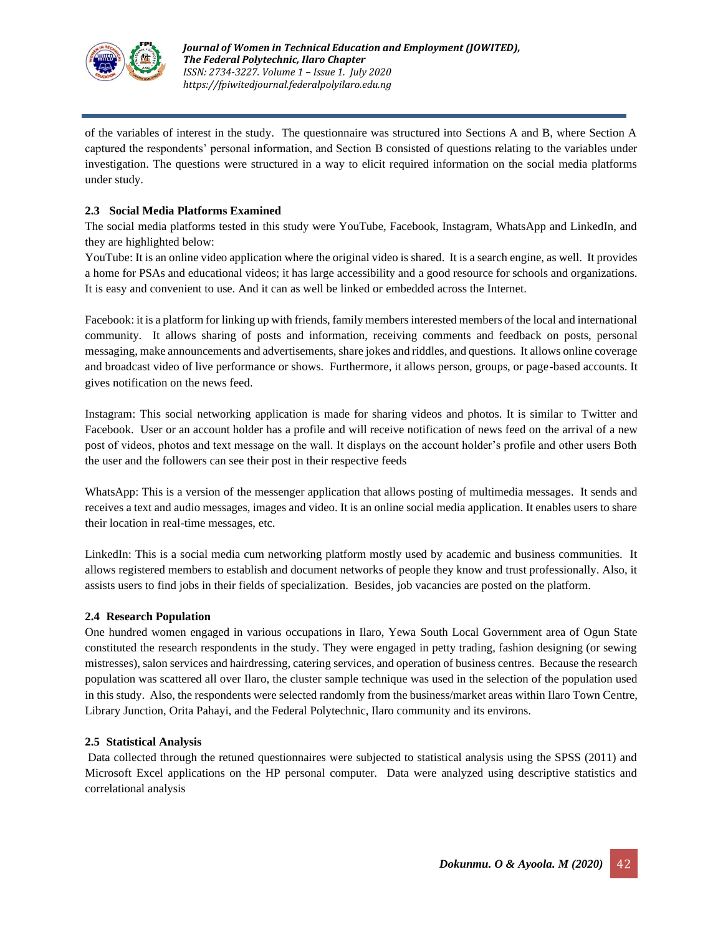

of the variables of interest in the study. The questionnaire was structured into Sections A and B, where Section A captured the respondents' personal information, and Section B consisted of questions relating to the variables under investigation. The questions were structured in a way to elicit required information on the social media platforms under study.

#### **2.3 Social Media Platforms Examined**

The social media platforms tested in this study were YouTube, Facebook, Instagram, WhatsApp and LinkedIn, and they are highlighted below:

YouTube: It is an online video application where the original video is shared. It is a search engine, as well. It provides a home for PSAs and educational videos; it has large accessibility and a good resource for schools and organizations. It is easy and convenient to use. And it can as well be linked or embedded across the Internet.

Facebook: it is a platform for linking up with friends, family members interested members of the local and international community. It allows sharing of posts and information, receiving comments and feedback on posts, personal messaging, make announcements and advertisements, share jokes and riddles, and questions. It allows online coverage and broadcast video of live performance or shows. Furthermore, it allows person, groups, or page-based accounts. It gives notification on the news feed.

Instagram: This social networking application is made for sharing videos and photos. It is similar to Twitter and Facebook. User or an account holder has a profile and will receive notification of news feed on the arrival of a new post of videos, photos and text message on the wall. It displays on the account holder's profile and other users Both the user and the followers can see their post in their respective feeds

WhatsApp: This is a version of the messenger application that allows posting of multimedia messages. It sends and receives a text and audio messages, images and video. It is an online social media application. It enables users to share their location in real-time messages, etc.

LinkedIn: This is a social media cum networking platform mostly used by academic and business communities. It allows registered members to establish and document networks of people they know and trust professionally. Also, it assists users to find jobs in their fields of specialization. Besides, job vacancies are posted on the platform.

#### **2.4 Research Population**

One hundred women engaged in various occupations in Ilaro, Yewa South Local Government area of Ogun State constituted the research respondents in the study. They were engaged in petty trading, fashion designing (or sewing mistresses), salon services and hairdressing, catering services, and operation of business centres. Because the research population was scattered all over Ilaro, the cluster sample technique was used in the selection of the population used in this study. Also, the respondents were selected randomly from the business/market areas within Ilaro Town Centre, Library Junction, Orita Pahayi, and the Federal Polytechnic, Ilaro community and its environs.

#### **2.5 Statistical Analysis**

Data collected through the retuned questionnaires were subjected to statistical analysis using the SPSS (2011) and Microsoft Excel applications on the HP personal computer. Data were analyzed using descriptive statistics and correlational analysis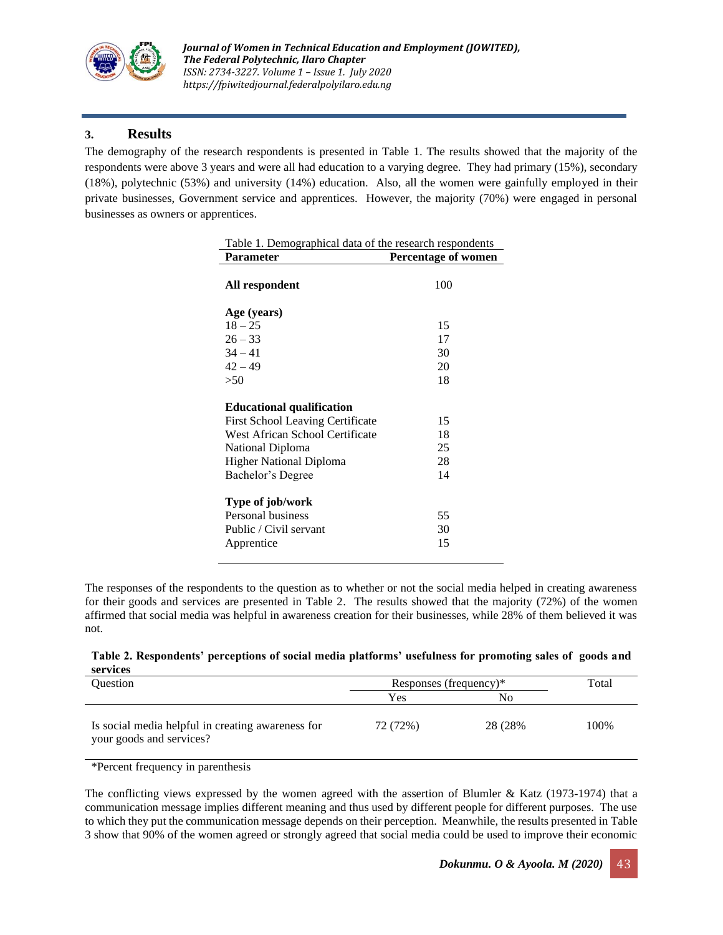

## **3. Results**

The demography of the research respondents is presented in Table 1. The results showed that the majority of the respondents were above 3 years and were all had education to a varying degree. They had primary (15%), secondary (18%), polytechnic (53%) and university (14%) education. Also, all the women were gainfully employed in their private businesses, Government service and apprentices. However, the majority (70%) were engaged in personal businesses as owners or apprentices.

| Table 1. Demographical data of the research respondents                                                                                                                                   |                            |  |  |  |  |
|-------------------------------------------------------------------------------------------------------------------------------------------------------------------------------------------|----------------------------|--|--|--|--|
| <b>Parameter</b>                                                                                                                                                                          | Percentage of women        |  |  |  |  |
| All respondent                                                                                                                                                                            | 100                        |  |  |  |  |
| Age (years)                                                                                                                                                                               |                            |  |  |  |  |
| $18 - 25$                                                                                                                                                                                 | 15                         |  |  |  |  |
| $26 - 33$                                                                                                                                                                                 | 17                         |  |  |  |  |
| $34 - 41$                                                                                                                                                                                 | 30                         |  |  |  |  |
| $42 - 49$                                                                                                                                                                                 | 20                         |  |  |  |  |
| >50                                                                                                                                                                                       | 18                         |  |  |  |  |
| <b>Educational qualification</b><br><b>First School Leaving Certificate</b><br>West African School Certificate<br>National Diploma<br><b>Higher National Diploma</b><br>Bachelor's Degree | 15<br>18<br>25<br>28<br>14 |  |  |  |  |
| Type of job/work<br>Personal business<br>Public / Civil servant<br>Apprentice                                                                                                             | 55<br>30<br>15             |  |  |  |  |

The responses of the respondents to the question as to whether or not the social media helped in creating awareness for their goods and services are presented in Table 2. The results showed that the majority (72%) of the women affirmed that social media was helpful in awareness creation for their businesses, while 28% of them believed it was not.

| Table 2. Respondents' perceptions of social media platforms' usefulness for promoting sales of goods and |  |  |  |
|----------------------------------------------------------------------------------------------------------|--|--|--|
| services                                                                                                 |  |  |  |

| <b>Ouestion</b>                                                               | Responses (frequency)* | Total    |      |
|-------------------------------------------------------------------------------|------------------------|----------|------|
|                                                                               | Yes                    | No       |      |
| Is social media helpful in creating awareness for<br>your goods and services? | 72 (72%)               | 28 (28%) | 100% |

\*Percent frequency in parenthesis

The conflicting views expressed by the women agreed with the assertion of Blumler & Katz (1973-1974) that a communication message implies different meaning and thus used by different people for different purposes. The use to which they put the communication message depends on their perception. Meanwhile, the results presented in Table 3 show that 90% of the women agreed or strongly agreed that social media could be used to improve their economic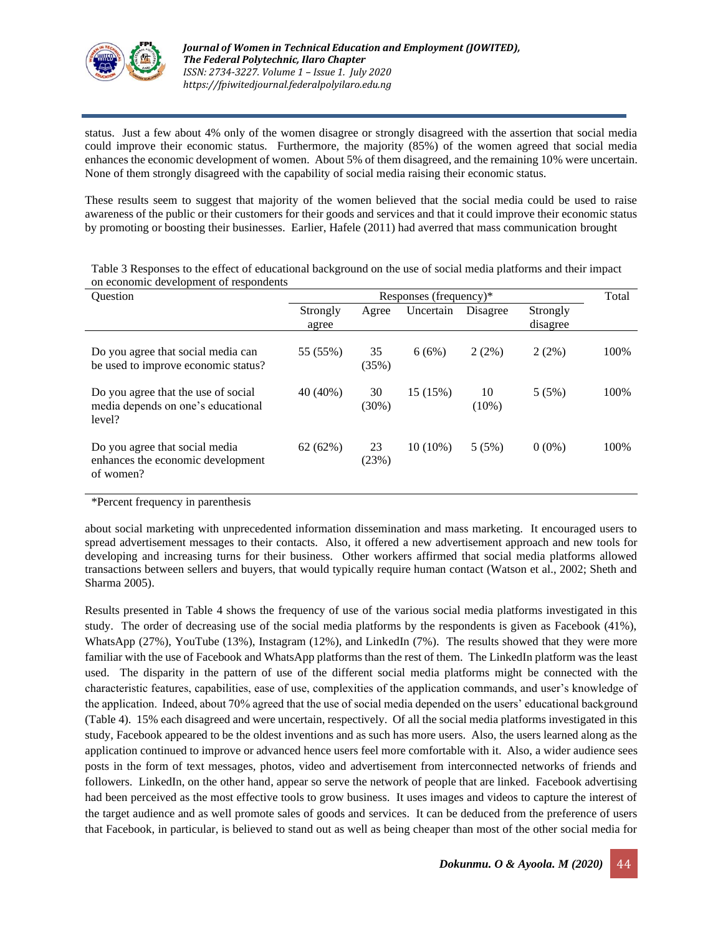

status. Just a few about 4% only of the women disagree or strongly disagreed with the assertion that social media could improve their economic status. Furthermore, the majority (85%) of the women agreed that social media enhances the economic development of women. About 5% of them disagreed, and the remaining 10% were uncertain. None of them strongly disagreed with the capability of social media raising their economic status.

These results seem to suggest that majority of the women believed that the social media could be used to raise awareness of the public or their customers for their goods and services and that it could improve their economic status by promoting or boosting their businesses. Earlier, Hafele (2011) had averred that mass communication brought

| <b>Ouestion</b>                                                                     | Responses (frequency)* |                |            |                |                      |      |
|-------------------------------------------------------------------------------------|------------------------|----------------|------------|----------------|----------------------|------|
|                                                                                     | Strongly<br>agree      | Agree          | Uncertain  | Disagree       | Strongly<br>disagree |      |
| Do you agree that social media can<br>be used to improve economic status?           | 55 (55%)               | 35<br>(35%)    | 6(6%)      | 2(2%)          | 2(2%)                | 100% |
| Do you agree that the use of social<br>media depends on one's educational<br>level? | 40 (40%)               | 30<br>$(30\%)$ | 15 (15%)   | 10<br>$(10\%)$ | 5(5%)                | 100% |
| Do you agree that social media<br>enhances the economic development<br>of women?    | 62(62%)                | 23<br>(23%)    | $10(10\%)$ | 5(5%)          | $0(0\%)$             | 100% |

Table 3 Responses to the effect of educational background on the use of social media platforms and their impact on economic development of respondents

\*Percent frequency in parenthesis

about social marketing with unprecedented information dissemination and mass marketing. It encouraged users to spread advertisement messages to their contacts. Also, it offered a new advertisement approach and new tools for developing and increasing turns for their business. Other workers affirmed that social media platforms allowed transactions between sellers and buyers, that would typically require human contact (Watson et al., 2002; Sheth and Sharma 2005).

Results presented in Table 4 shows the frequency of use of the various social media platforms investigated in this study. The order of decreasing use of the social media platforms by the respondents is given as Facebook (41%), WhatsApp (27%), YouTube (13%), Instagram (12%), and LinkedIn (7%). The results showed that they were more familiar with the use of Facebook and WhatsApp platforms than the rest of them. The LinkedIn platform was the least used. The disparity in the pattern of use of the different social media platforms might be connected with the characteristic features, capabilities, ease of use, complexities of the application commands, and user's knowledge of the application. Indeed, about 70% agreed that the use of social media depended on the users' educational background (Table 4). 15% each disagreed and were uncertain, respectively. Of all the social media platforms investigated in this study, Facebook appeared to be the oldest inventions and as such has more users. Also, the users learned along as the application continued to improve or advanced hence users feel more comfortable with it. Also, a wider audience sees posts in the form of text messages, photos, video and advertisement from interconnected networks of friends and followers. LinkedIn, on the other hand, appear so serve the network of people that are linked. Facebook advertising had been perceived as the most effective tools to grow business. It uses images and videos to capture the interest of the target audience and as well promote sales of goods and services. It can be deduced from the preference of users that Facebook, in particular, is believed to stand out as well as being cheaper than most of the other social media for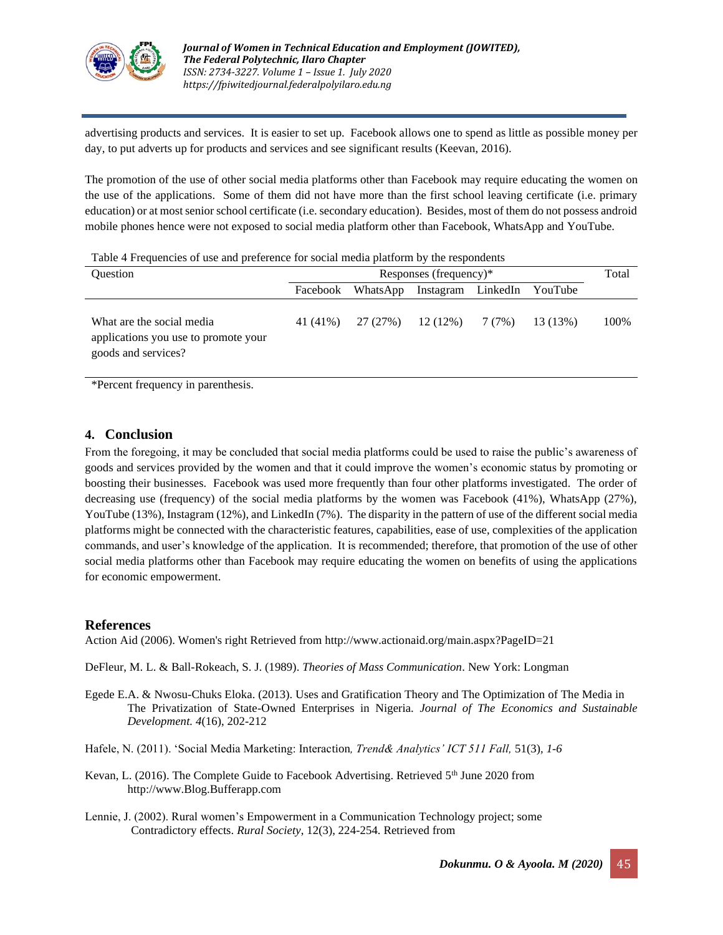

advertising products and services. It is easier to set up. Facebook allows one to spend as little as possible money per day, to put adverts up for products and services and see significant results (Keevan, 2016).

The promotion of the use of other social media platforms other than Facebook may require educating the women on the use of the applications. Some of them did not have more than the first school leaving certificate (i.e. primary education) or at most senior school certificate (i.e. secondary education). Besides, most of them do not possess android mobile phones hence were not exposed to social media platform other than Facebook, WhatsApp and YouTube.

Table 4 Frequencies of use and preference for social media platform by the respondents

| <b>Ouestion</b>                                                                          | Responses (frequency)* |          |                            |  |          | Total |
|------------------------------------------------------------------------------------------|------------------------|----------|----------------------------|--|----------|-------|
|                                                                                          | Facebook               | WhatsApp | Instagram LinkedIn YouTube |  |          |       |
| What are the social media<br>applications you use to promote your<br>goods and services? | 41 (41%)               | 27 (27%) | $12(12\%)$ 7(7%)           |  | 13 (13%) | 100%  |

\*Percent frequency in parenthesis.

## **4. Conclusion**

From the foregoing, it may be concluded that social media platforms could be used to raise the public's awareness of goods and services provided by the women and that it could improve the women's economic status by promoting or boosting their businesses. Facebook was used more frequently than four other platforms investigated. The order of decreasing use (frequency) of the social media platforms by the women was Facebook (41%), WhatsApp (27%), YouTube (13%), Instagram (12%), and LinkedIn (7%). The disparity in the pattern of use of the different social media platforms might be connected with the characteristic features, capabilities, ease of use, complexities of the application commands, and user's knowledge of the application. It is recommended; therefore, that promotion of the use of other social media platforms other than Facebook may require educating the women on benefits of using the applications for economic empowerment.

### **References**

Action Aid (2006). Women's right Retrieved from http://www.actionaid.org/main.aspx?PageID=21

DeFleur, M. L. & Ball-Rokeach, S. J. (1989). *Theories of Mass Communication*. New York: Longman

- Egede E.A. & Nwosu-Chuks Eloka. (2013). Uses and Gratification Theory and The Optimization of The Media in The Privatization of State-Owned Enterprises in Nigeria. *Journal of The Economics and Sustainable Development. 4*(16), 202-212
- Hafele, N. (2011). 'Social Media Marketing: Interaction*, Trend& Analytics' ICT 511 Fall,* 51(3)*, 1-6*
- Kevan, L. (2016). The Complete Guide to Facebook Advertising. Retrieved  $5<sup>th</sup>$  June 2020 from http://www.Blog.Bufferapp.com
- Lennie, J. (2002). Rural women's Empowerment in a Communication Technology project; some Contradictory effects. *Rural Society*, 12(3), 224-254. Retrieved from